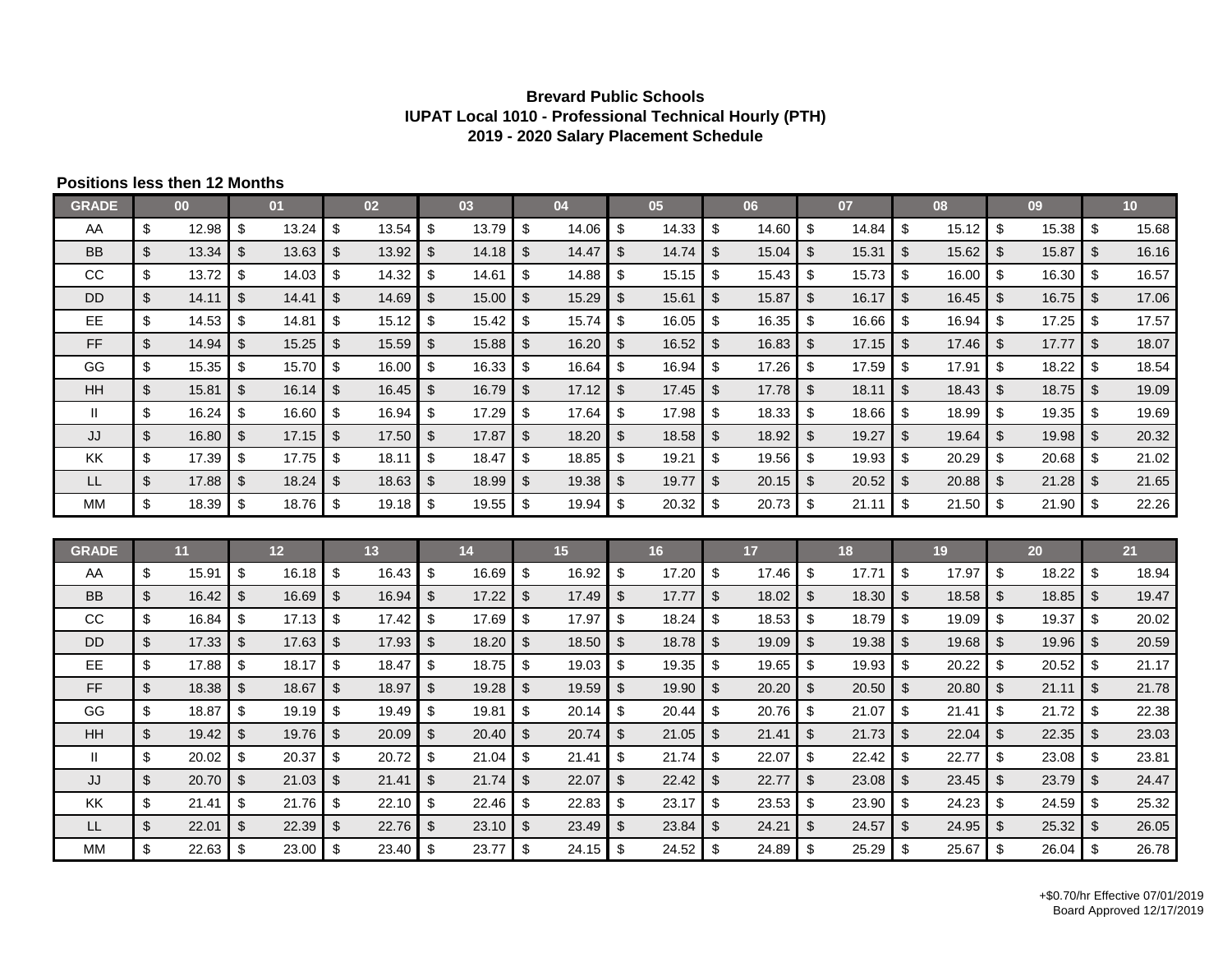## **Brevard Public Schools IUPAT Local 1010 - Professional Technical Hourly (PTH) 2019 - 2020 Salary Placement Schedule**

## **Positions less then 12 Months**

| <b>GRADE</b> |                         | 00    |                         | 01    |                | 02 <sub>2</sub> |                         | 03    |                         | 04    |                | 05    |                         | 06              |                | 07    |                | 08    |                         | 09    |               | 10 <sup>°</sup> |
|--------------|-------------------------|-------|-------------------------|-------|----------------|-----------------|-------------------------|-------|-------------------------|-------|----------------|-------|-------------------------|-----------------|----------------|-------|----------------|-------|-------------------------|-------|---------------|-----------------|
| AA           | $\sqrt[6]{\frac{1}{2}}$ | 12.98 | \$                      | 13.24 | \$             | 13.54           | \$                      | 13.79 | \$                      | 14.06 | \$             | 14.33 | \$                      | 14.60           | \$             | 14.84 | \$             | 15.12 | \$                      | 15.38 | - \$          | 15.68           |
| <b>BB</b>    | $\sqrt{2}$              | 13.34 | \$                      | 13.63 | $\mathbb{S}$   | 13.92           | \$                      | 14.18 | \$                      | 14.47 | \$             | 14.74 | \$                      | 15.04           | \$             | 15.31 | \$             | 15.62 | $\mathfrak{S}$          | 15.87 | \$            | 16.16           |
| CC           | \$                      | 13.72 | \$                      | 14.03 | \$             | 14.32           | \$                      | 14.61 | \$                      | 14.88 | \$             | 15.15 | \$                      | 15.43           | - \$           | 15.73 | \$             | 16.00 | \$                      | 16.30 | \$            | 16.57           |
| <b>DD</b>    | $\sqrt[6]{\frac{1}{2}}$ | 14.11 | $\mathfrak{S}$          | 14.41 | \$             | 14.69           | $\$\$                   | 15.00 | $\mathfrak{S}$          | 15.29 | $\mathfrak{L}$ | 15.61 | $\mathfrak{L}$          | 15.87           | $\mathfrak{S}$ | 16.17 | $\mathfrak{L}$ | 16.45 | $\mathfrak{S}$          | 16.75 | \$            | 17.06           |
| EE           | \$                      | 14.53 | \$                      | 14.81 | \$             | 15.12           | \$                      | 15.42 | \$                      | 15.74 | \$             | 16.05 | \$                      | 16.35           | \$             | 16.66 | \$             | 16.94 | \$                      | 17.25 | \$            | 17.57           |
| FF           | $\sqrt[6]{\frac{1}{2}}$ | 14.94 | \$                      | 15.25 | \$             | 15.59           | \$                      | 15.88 | \$                      | 16.20 | $\mathfrak{S}$ | 16.52 | $\frac{1}{2}$           | 16.83           | -\$            | 17.15 | \$             | 17.46 | $\mathfrak{S}$          | 17.77 | \$            | 18.07           |
| GG           | $\sqrt[6]{\frac{1}{2}}$ | 15.35 | \$                      | 15.70 | \$             | 16.00           | \$                      | 16.33 | \$                      | 16.64 | \$             | 16.94 | \$                      | 17.26           | - \$           | 17.59 | \$             | 17.91 | \$                      | 18.22 | \$            | 18.54           |
| HH           | $\sqrt[6]{\frac{1}{2}}$ | 15.81 | $\sqrt[6]{\frac{1}{2}}$ | 16.14 | $\frac{1}{2}$  | 16.45           | $\sqrt[6]{\frac{1}{2}}$ | 16.79 | $\sqrt[6]{3}$           | 17.12 | $\mathfrak{S}$ | 17.45 | $\sqrt[6]{\frac{1}{2}}$ | 17.78           | $\sqrt{3}$     | 18.11 | \$             | 18.43 | $\sqrt[6]{\frac{1}{2}}$ | 18.75 | \$            | 19.09           |
| H.           | \$                      | 16.24 | \$                      | 16.60 | \$             | 16.94           | \$                      | 17.29 | \$                      | 17.64 | \$             | 17.98 | \$                      | 18.33           | -\$            | 18.66 | \$             | 18.99 | \$                      | 19.35 | -\$           | 19.69           |
| JJ           | $\sqrt[6]{\frac{1}{2}}$ | 16.80 | $\sqrt[6]{2}$           | 17.15 | \$             | 17.50           | \$                      | 17.87 | $\mathfrak{S}$          | 18.20 | $\mathfrak{S}$ | 18.58 | \$                      | 18.92           | $\mathfrak{S}$ | 19.27 | \$             | 19.64 | $\mathfrak{L}$          | 19.98 | \$            | 20.32           |
| KK           | $\sqrt[6]{\frac{1}{2}}$ | 17.39 | \$                      | 17.75 | \$             | 18.11           | \$                      | 18.47 | \$                      | 18.85 | \$             | 19.21 | \$                      | 19.56           | \$             | 19.93 | \$             | 20.29 | \$                      | 20.68 | - \$          | 21.02           |
| LL           | $$\mathbb{S}$$          | 17.88 | \$                      | 18.24 | \$             | 18.63           | \$                      | 18.99 | \$                      | 19.38 | \$             | 19.77 | \$                      | 20.15           | \$             | 20.52 | $\mathfrak{S}$ | 20.88 | \$                      | 21.28 | \$            | 21.65           |
| MM           | $\$\$                   | 18.39 | \$                      | 18.76 | \$             | 19.18           | \$                      | 19.55 | -\$                     | 19.94 | \$             | 20.32 | \$                      | 20.73           | $\sqrt{3}$     | 21.11 | \$             | 21.50 | \$                      | 21.90 | - \$          | 22.26           |
|              |                         |       |                         |       |                |                 |                         |       |                         |       |                |       |                         |                 |                |       |                |       |                         |       |               |                 |
|              |                         |       |                         |       |                |                 |                         |       |                         |       |                |       |                         |                 |                |       |                |       |                         |       |               |                 |
| <b>GRADE</b> |                         | 11    |                         | $12$  |                | 13              |                         | 14    |                         | 15    |                | 16    |                         | 17 <sup>2</sup> |                | 18    |                | 19    |                         | 20    |               | 21              |
| AA           | \$                      | 15.91 | \$                      | 16.18 | \$             | 16.43           | \$                      | 16.69 | \$                      | 16.92 | \$             | 17.20 | \$                      | 17.46           | <b>S</b>       | 17.71 | \$             | 17.97 | \$                      | 18.22 | - \$          | 18.94           |
| <b>BB</b>    | $\sqrt[6]{\frac{1}{2}}$ | 16.42 | $\sqrt[6]{2}$           | 16.69 | \$             | 16.94           | \$                      | 17.22 | $\mathfrak{S}$          | 17.49 | $\sqrt[6]{2}$  | 17.77 | $\mathbb{S}$            | 18.02           | -\$            | 18.30 | $\mathfrak{S}$ | 18.58 | \$                      | 18.85 | \$            | 19.47           |
| cc           | $\sqrt[6]{\frac{1}{2}}$ | 16.84 | \$                      | 17.13 | \$             | 17.42           | \$                      | 17.69 | \$                      | 17.97 | \$             | 18.24 | \$                      | 18.53           | \$             | 18.79 | \$             | 19.09 | \$                      | 19.37 | \$            | 20.02           |
| <b>DD</b>    | $$\mathbb{S}$$          | 17.33 | $\sqrt[6]{\frac{1}{2}}$ | 17.63 | \$             | 17.93           | \$                      | 18.20 | $\mathfrak{S}$          | 18.50 | \$             | 18.78 | \$                      | 19.09           | \$             | 19.38 | \$             | 19.68 | \$                      | 19.96 | $\sqrt[6]{3}$ | 20.59           |
| <b>EE</b>    | $\sqrt[6]{\frac{1}{2}}$ | 17.88 | \$                      | 18.17 | \$             | 18.47           | \$                      | 18.75 | \$                      | 19.03 | \$             | 19.35 | \$                      | 19.65           | -\$            | 19.93 | \$             | 20.22 | \$                      | 20.52 | \$            | 21.17           |
| <b>FF</b>    | $\sqrt[6]{\frac{1}{2}}$ | 18.38 | $\mathfrak{L}$          | 18.67 | \$             | 18.97           | $\mathfrak{L}$          | 19.28 | $\mathfrak{S}$          | 19.59 | \$             | 19.90 | $\mathfrak{S}$          | 20.20           | $\mathfrak{L}$ | 20.50 | \$             | 20.80 | $\mathfrak{L}$          | 21.11 | \$            | 21.78           |
| GG           | $\sqrt[6]{\frac{1}{2}}$ | 18.87 | $\sqrt[6]{\frac{1}{2}}$ | 19.19 | \$             | 19.49           | \$                      | 19.81 | $\sqrt[6]{\frac{1}{2}}$ | 20.14 | \$             | 20.44 | $\sqrt[6]{\frac{1}{2}}$ | 20.76           | \$             | 21.07 | \$             | 21.41 | \$                      | 21.72 | \$            | 22.38           |
| HH           | $$\mathbb{S}$$          | 19.42 | \$                      | 19.76 | \$             | 20.09           | \$                      | 20.40 | $\mathfrak{L}$          | 20.74 | \$             | 21.05 | $\mathfrak{S}$          | 21.41           | \$             | 21.73 | \$             | 22.04 | $\mathfrak{S}$          | 22.35 | \$            | 23.03           |
| $\mathbf{I}$ | $\sqrt[6]{\frac{1}{2}}$ | 20.02 | \$                      | 20.37 | \$             | 20.72           | \$                      | 21.04 | \$                      | 21.41 | \$             | 21.74 | \$                      | 22.07           | -\$            | 22.42 | \$             | 22.77 | \$                      | 23.08 | - \$          | 23.81           |
| JJ           | $\sqrt{2}$              | 20.70 | \$                      | 21.03 | $\mathfrak{S}$ | 21.41           | \$                      | 21.74 | $\mathfrak{F}$          | 22.07 | \$             | 22.42 | \$                      | 22.77           | $\sqrt[6]{2}$  | 23.08 | \$             | 23.45 | $\mathfrak{S}$          | 23.79 | \$            | 24.47           |
| KK           | \$                      | 21.41 | \$                      | 21.76 | \$             | 22.10           | \$                      | 22.46 | -\$                     | 22.83 | \$             | 23.17 | \$                      | 23.53           | \$             | 23.90 | \$             | 24.23 | \$                      | 24.59 | \$            | 25.32           |
| <b>LL</b>    | $\sqrt[6]{\frac{1}{2}}$ | 22.01 | \$                      | 22.39 | $\frac{1}{2}$  | 22.76           | \$                      | 23.10 | $\mathfrak{F}$          | 23.49 | $\mathfrak{S}$ | 23.84 | \$                      | 24.21           | $\mathfrak{L}$ | 24.57 | \$             | 24.95 | \$                      | 25.32 | \$            | 26.05           |